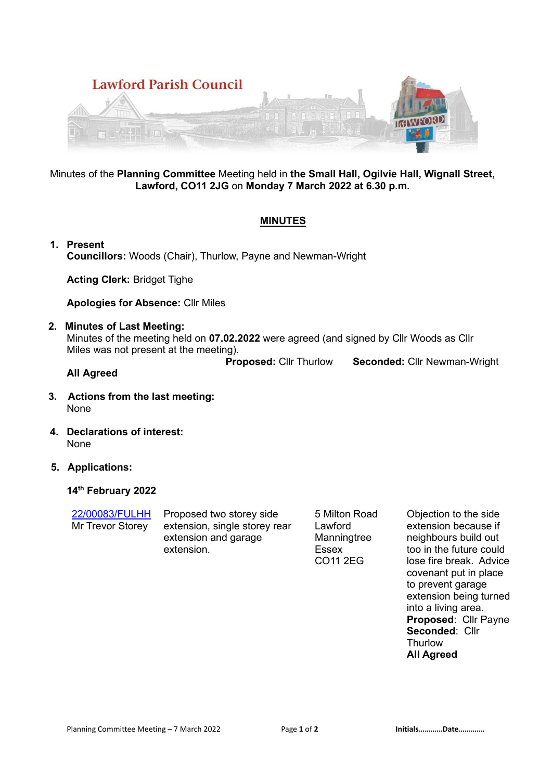

### Minutes of the **Planning Committee** Meeting held in **the Small Hall, Ogilvie Hall, Wignall Street, Lawford, CO11 2JG** on **Monday 7 March 2022 at 6.30 p.m.**

## **MINUTES**

**1. Present Councillors:** Woods (Chair), Thurlow, Payne and Newman-Wright

**Acting Clerk:** Bridget Tighe

**Apologies for Absence:** Cllr Miles

### **2. Minutes of Last Meeting:**

Minutes of the meeting held on **07.02.2022** were agreed (and signed by Cllr Woods as Cllr Miles was not present at the meeting).

**Proposed:** Cllr Thurlow **Seconded:** Cllr Newman-Wright

#### **All Agreed**

- **3. Actions from the last meeting:**  None
- **4. Declarations of interest:**  None
- **5. Applications:**

### **14th February 2022**

22/00083/FULHH Mr Trevor Storey

Proposed two storey side extension, single storey rear extension and garage extension.

5 Milton Road Lawford Manningtree Essex CO11 2EG

Objection to the side extension because if neighbours build out too in the future could lose fire break. Advice covenant put in place to prevent garage extension being turned into a living area. **Proposed**: Cllr Payne **Seconded**: Cllr **Thurlow All Agreed**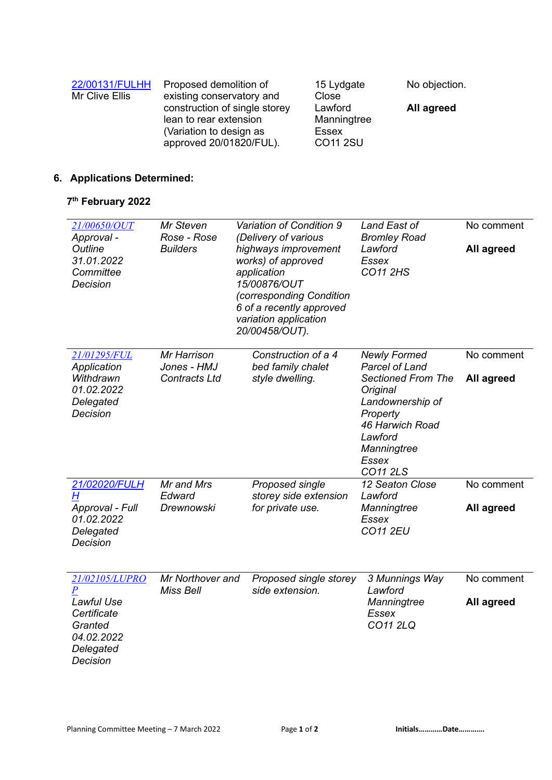| 22/00131/FULHH | Proposed demolition of                                                                                        | 15 Lydgate                                                | No objection. |
|----------------|---------------------------------------------------------------------------------------------------------------|-----------------------------------------------------------|---------------|
| Mr Clive Ellis | existing conservatory and                                                                                     | Close                                                     |               |
|                | construction of single storey<br>lean to rear extension<br>(Variation to design as<br>approved 20/01820/FUL). | Lawford<br>Manningtree<br><b>Essex</b><br><b>CO11 2SU</b> | All agreed    |

# **6. Applications Determined:**

### **7 th February 2022**

| 21/00650/OUT<br>Approval -<br>Outline<br>31.01.2022<br>Committee<br>Decision                               | Mr Steven<br>Rose - Rose<br><b>Builders</b>        | Variation of Condition 9<br>(Delivery of various<br>highways improvement<br>works) of approved<br>application<br>15/00876/OUT<br>(corresponding Condition<br>6 of a recently approved<br>variation application<br>20/00458/OUT). | Land East of<br><b>Bromley Road</b><br>Lawford<br><b>Essex</b><br><b>CO11 2HS</b>                                                                                                              | No comment<br>All agreed |
|------------------------------------------------------------------------------------------------------------|----------------------------------------------------|----------------------------------------------------------------------------------------------------------------------------------------------------------------------------------------------------------------------------------|------------------------------------------------------------------------------------------------------------------------------------------------------------------------------------------------|--------------------------|
| 21/01295/FUL<br>Application<br>Withdrawn<br>01.02.2022<br>Delegated<br>Decision                            | Mr Harrison<br>Jones - HMJ<br><b>Contracts Ltd</b> | Construction of a 4<br>bed family chalet<br>style dwelling.                                                                                                                                                                      | <b>Newly Formed</b><br><b>Parcel of Land</b><br><b>Sectioned From The</b><br>Original<br>Landownership of<br>Property<br>46 Harwich Road<br>Lawford<br>Manningtree<br><b>Essex</b><br>CO11 2LS | No comment<br>All agreed |
| 21/02020/FULH<br>H<br>Approval - Full<br>01.02.2022<br>Delegated<br>Decision                               | Mr and Mrs<br>Edward<br><b>Drewnowski</b>          | Proposed single<br>storey side extension<br>for private use.                                                                                                                                                                     | 12 Seaton Close<br>Lawford<br>Manningtree<br><b>Essex</b><br><b>CO11 2EU</b>                                                                                                                   | No comment<br>All agreed |
| 21/02105/LUPRO<br>$\pmb{P}$<br>Lawful Use<br>Certificate<br>Granted<br>04.02.2022<br>Delegated<br>Decision | Mr Northover and<br><b>Miss Bell</b>               | Proposed single storey<br>side extension.                                                                                                                                                                                        | 3 Munnings Way<br>Lawford<br>Manningtree<br><b>Essex</b><br>CO11 2LQ                                                                                                                           | No comment<br>All agreed |